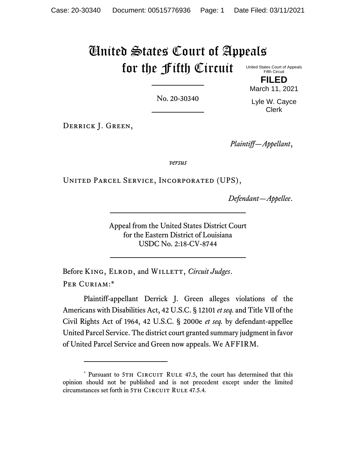# United States Court of Appeals for the Fifth Circuit

United States Court of Appeals Fifth Circuit **FILED**

No. 20-30340

March 11, 2021 Lyle W. Cayce Clerk

DERRICK J. GREEN,

*Plaintiff—Appellant*,

*versus*

United Parcel Service, Incorporated (UPS),

*Defendant—Appellee*.

Appeal from the United States District Court for the Eastern District of Louisiana USDC No. 2:18-CV-8744

Before KING, ELROD, and WILLETT, *Circuit Judges*. PER CURIAM:\*

Plaintiff-appellant Derrick J. Green alleges violations of the Americans with Disabilities Act, 42 U.S.C. § 12101 *et seq.* and Title VII of the Civil Rights Act of 1964, 42 U.S.C. § 2000e *et seq.* by defendant-appellee United Parcel Service. The district court granted summary judgment in favor of United Parcel Service and Green now appeals. We AFFIRM.

<sup>\*</sup> Pursuant to 5TH CIRCUIT RULE 47.5, the court has determined that this opinion should not be published and is not precedent except under the limited circumstances set forth in 5TH CIRCUIT RULE 47.5.4.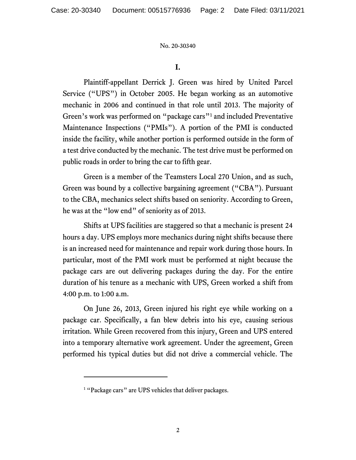## **I.**

Plaintiff-appellant Derrick J. Green was hired by United Parcel Service ("UPS") in October 2005. He began working as an automotive mechanic in 2006 and continued in that role until 2013. The majority of Green's work was performed on "package cars"<sup>1</sup> and included Preventative Maintenance Inspections ("PMIs"). A portion of the PMI is conducted inside the facility, while another portion is performed outside in the form of a test drive conducted by the mechanic. The test drive must be performed on public roads in order to bring the car to fifth gear.

Green is a member of the Teamsters Local 270 Union, and as such, Green was bound by a collective bargaining agreement ("CBA"). Pursuant to the CBA, mechanics select shifts based on seniority. According to Green, he was at the "low end" of seniority as of 2013.

Shifts at UPS facilities are staggered so that a mechanic is present 24 hours a day. UPS employs more mechanics during night shifts because there is an increased need for maintenance and repair work during those hours. In particular, most of the PMI work must be performed at night because the package cars are out delivering packages during the day. For the entire duration of his tenure as a mechanic with UPS, Green worked a shift from 4:00 p.m. to 1:00 a.m.

On June 26, 2013, Green injured his right eye while working on a package car. Specifically, a fan blew debris into his eye, causing serious irritation. While Green recovered from this injury, Green and UPS entered into a temporary alternative work agreement. Under the agreement, Green performed his typical duties but did not drive a commercial vehicle. The

<sup>&</sup>lt;sup>1</sup> "Package cars" are UPS vehicles that deliver packages.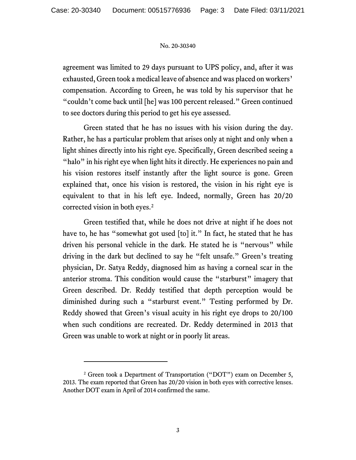agreement was limited to 29 days pursuant to UPS policy, and, after it was exhausted, Green took a medical leave of absence and was placed on workers' compensation. According to Green, he was told by his supervisor that he "couldn't come back until [he] was 100 percent released." Green continued to see doctors during this period to get his eye assessed.

Green stated that he has no issues with his vision during the day. Rather, he has a particular problem that arises only at night and only when a light shines directly into his right eye. Specifically, Green described seeing a "halo" in his right eye when light hits it directly. He experiences no pain and his vision restores itself instantly after the light source is gone. Green explained that, once his vision is restored, the vision in his right eye is equivalent to that in his left eye. Indeed, normally, Green has 20/20 corrected vision in both eyes.<sup>2</sup>

Green testified that, while he does not drive at night if he does not have to, he has "somewhat got used [to] it." In fact, he stated that he has driven his personal vehicle in the dark. He stated he is "nervous" while driving in the dark but declined to say he "felt unsafe." Green's treating physician, Dr. Satya Reddy, diagnosed him as having a corneal scar in the anterior stroma. This condition would cause the "starburst" imagery that Green described. Dr. Reddy testified that depth perception would be diminished during such a "starburst event." Testing performed by Dr. Reddy showed that Green's visual acuity in his right eye drops to 20/100 when such conditions are recreated. Dr. Reddy determined in 2013 that Green was unable to work at night or in poorly lit areas.

<sup>&</sup>lt;sup>2</sup> Green took a Department of Transportation ("DOT") exam on December 5, 2013. The exam reported that Green has 20/20 vision in both eyes with corrective lenses. Another DOT exam in April of 2014 confirmed the same.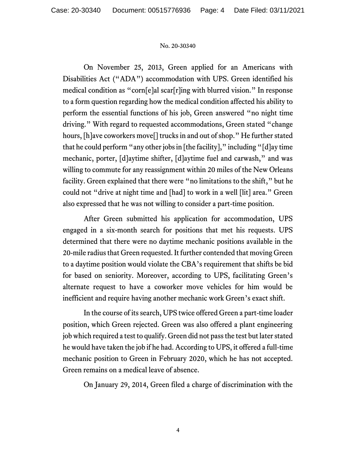On November 25, 2013, Green applied for an Americans with Disabilities Act ("ADA") accommodation with UPS. Green identified his medical condition as "corn[e]al scar[r]ing with blurred vision." In response to a form question regarding how the medical condition affected his ability to perform the essential functions of his job, Green answered "no night time driving." With regard to requested accommodations, Green stated "change hours, [h]ave coworkers move[] trucks in and out of shop." He further stated that he could perform "any other jobs in [the facility]," including "[d]ay time mechanic, porter, [d]aytime shifter, [d]aytime fuel and carwash," and was willing to commute for any reassignment within 20 miles of the New Orleans facility. Green explained that there were "no limitations to the shift," but he could not "drive at night time and [had] to work in a well [lit] area." Green also expressed that he was not willing to consider a part-time position.

After Green submitted his application for accommodation, UPS engaged in a six-month search for positions that met his requests. UPS determined that there were no daytime mechanic positions available in the 20-mile radius that Green requested. It further contended that moving Green to a daytime position would violate the CBA's requirement that shifts be bid for based on seniority. Moreover, according to UPS, facilitating Green's alternate request to have a coworker move vehicles for him would be inefficient and require having another mechanic work Green's exact shift.

In the course of its search, UPS twice offered Green a part-time loader position, which Green rejected. Green was also offered a plant engineering job which required a test to qualify. Green did not pass the test but later stated he would have taken the job if he had. According to UPS, it offered a full-time mechanic position to Green in February 2020, which he has not accepted. Green remains on a medical leave of absence.

On January 29, 2014, Green filed a charge of discrimination with the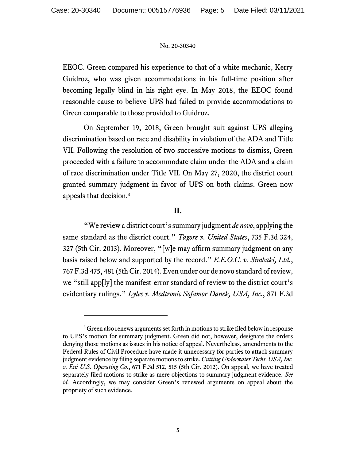EEOC. Green compared his experience to that of a white mechanic, Kerry Guidroz, who was given accommodations in his full-time position after becoming legally blind in his right eye. In May 2018, the EEOC found reasonable cause to believe UPS had failed to provide accommodations to Green comparable to those provided to Guidroz.

On September 19, 2018, Green brought suit against UPS alleging discrimination based on race and disability in violation of the ADA and Title VII. Following the resolution of two successive motions to dismiss, Green proceeded with a failure to accommodate claim under the ADA and a claim of race discrimination under Title VII. On May 27, 2020, the district court granted summary judgment in favor of UPS on both claims. Green now appeals that decision.<sup>3</sup>

## **II.**

"We review a district court's summary judgment *de novo*, applying the same standard as the district court." *Tagore v. United States*, 735 F.3d 324, 327 (5th Cir. 2013). Moreover, "[w]e may affirm summary judgment on any basis raised below and supported by the record." *E.E.O.C. v. Simbaki, Ltd.*, 767 F.3d 475, 481 (5th Cir. 2014). Even under our de novo standard of review, we "still app[ly] the manifest-error standard of review to the district court's evidentiary rulings." *Lyles v. Medtronic Sofamor Danek, USA, Inc.*, 871 F.3d

<sup>&</sup>lt;sup>3</sup> Green also renews arguments set forth in motions to strike filed below in response to UPS's motion for summary judgment. Green did not, however, designate the orders denying those motions as issues in his notice of appeal. Nevertheless, amendments to the Federal Rules of Civil Procedure have made it unnecessary for parties to attack summary judgment evidence by filing separate motions to strike. *Cutting Underwater Techs. USA, Inc. v. Eni U.S. Operating Co.*, 671 F.3d 512, 515 (5th Cir. 2012). On appeal, we have treated separately filed motions to strike as mere objections to summary judgment evidence. *See id.* Accordingly, we may consider Green's renewed arguments on appeal about the propriety of such evidence.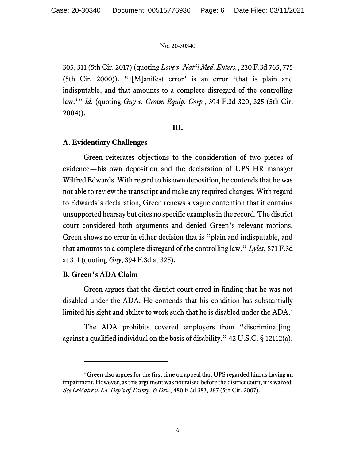305, 311 (5th Cir. 2017) (quoting *Love v. Nat'l Med. Enters.*, 230 F.3d 765, 775 (5th Cir. 2000)). "'[M]anifest error' is an error 'that is plain and indisputable, and that amounts to a complete disregard of the controlling law.'" *Id.* (quoting *Guy v. Crown Equip. Corp.*, 394 F.3d 320, 325 (5th Cir. 2004)).

## **III.**

## **A. Evidentiary Challenges**

Green reiterates objections to the consideration of two pieces of evidence—his own deposition and the declaration of UPS HR manager Wilfred Edwards. With regard to his own deposition, he contends that he was not able to review the transcript and make any required changes. With regard to Edwards's declaration, Green renews a vague contention that it contains unsupported hearsay but cites no specific examples in the record. The district court considered both arguments and denied Green's relevant motions. Green shows no error in either decision that is "plain and indisputable, and that amounts to a complete disregard of the controlling law." *Lyles*, 871 F.3d at 311 (quoting *Guy*, 394 F.3d at 325).

## **B. Green's ADA Claim**

Green argues that the district court erred in finding that he was not disabled under the ADA. He contends that his condition has substantially limited his sight and ability to work such that he is disabled under the ADA. 4

The ADA prohibits covered employers from "discriminat[ing] against a qualified individual on the basis of disability." 42 U.S.C. § 12112(a).

<sup>4</sup> Green also argues for the first time on appeal that UPS regarded him as having an impairment. However, as this argument was not raised before the district court, it is waived. *See LeMaire v. La. Dep't of Transp. & Dev.*, 480 F.3d 383, 387 (5th Cir. 2007).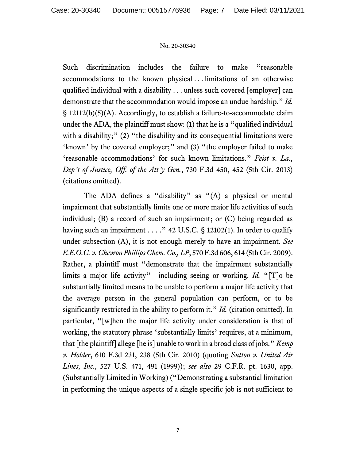Such discrimination includes the failure to make "reasonable accommodations to the known physical . . . limitations of an otherwise qualified individual with a disability . . . unless such covered [employer] can demonstrate that the accommodation would impose an undue hardship." *Id.* § 12112(b)(5)(A). Accordingly, to establish a failure-to-accommodate claim under the ADA, the plaintiff must show: (1) that he is a "qualified individual with a disability;" (2) "the disability and its consequential limitations were 'known' by the covered employer;" and (3) "the employer failed to make 'reasonable accommodations' for such known limitations." *Feist v. La., Dep't of Justice, Off. of the Att'y Gen.*, 730 F.3d 450, 452 (5th Cir. 2013) (citations omitted).

The ADA defines a "disability" as "(A) a physical or mental impairment that substantially limits one or more major life activities of such individual; (B) a record of such an impairment; or (C) being regarded as having such an impairment . . . ." 42 U.S.C. § 12102(1). In order to qualify under subsection (A), it is not enough merely to have an impairment. *See E.E.O.C. v. Chevron Phillips Chem. Co., LP*, 570 F.3d 606, 614 (5th Cir. 2009). Rather, a plaintiff must "demonstrate that the impairment substantially limits a major life activity"—including seeing or working. *Id.* "[T]o be substantially limited means to be unable to perform a major life activity that the average person in the general population can perform, or to be significantly restricted in the ability to perform it." *Id.* (citation omitted). In particular, "[w]hen the major life activity under consideration is that of working, the statutory phrase 'substantially limits' requires, at a minimum, that [the plaintiff] allege [he is] unable to work in a broad class of jobs." *Kemp v. Holder*, 610 F.3d 231, 238 (5th Cir. 2010) (quoting *Sutton v. United Air Lines, Inc.*, 527 U.S. 471, 491 (1999)); *see also* 29 C.F.R. pt. 1630, app. (Substantially Limited in Working) ("Demonstrating a substantial limitation in performing the unique aspects of a single specific job is not sufficient to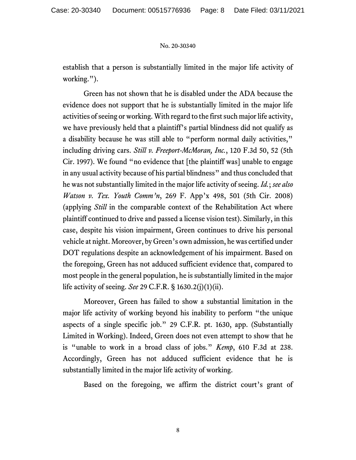establish that a person is substantially limited in the major life activity of working.").

Green has not shown that he is disabled under the ADA because the evidence does not support that he is substantially limited in the major life activities of seeing or working. With regard to the first such major life activity, we have previously held that a plaintiff's partial blindness did not qualify as a disability because he was still able to "perform normal daily activities," including driving cars. *Still v. Freeport-McMoran, Inc.*, 120 F.3d 50, 52 (5th Cir. 1997). We found "no evidence that [the plaintiff was] unable to engage in any usual activity because of his partial blindness" and thus concluded that he was not substantially limited in the major life activity of seeing. *Id.*; *see also Watson v. Tex. Youth Comm'n*, 269 F. App'x 498, 501 (5th Cir. 2008) (applying *Still* in the comparable context of the Rehabilitation Act where plaintiff continued to drive and passed a license vision test). Similarly, in this case, despite his vision impairment, Green continues to drive his personal vehicle at night. Moreover, by Green's own admission, he was certified under DOT regulations despite an acknowledgement of his impairment. Based on the foregoing, Green has not adduced sufficient evidence that, compared to most people in the general population, he is substantially limited in the major life activity of seeing. *See* 29 C.F.R. § 1630.2(j)(1)(ii).

Moreover, Green has failed to show a substantial limitation in the major life activity of working beyond his inability to perform "the unique aspects of a single specific job." 29 C.F.R. pt. 1630, app. (Substantially Limited in Working). Indeed, Green does not even attempt to show that he is "unable to work in a broad class of jobs." *Kemp*, 610 F.3d at 238. Accordingly, Green has not adduced sufficient evidence that he is substantially limited in the major life activity of working.

Based on the foregoing, we affirm the district court's grant of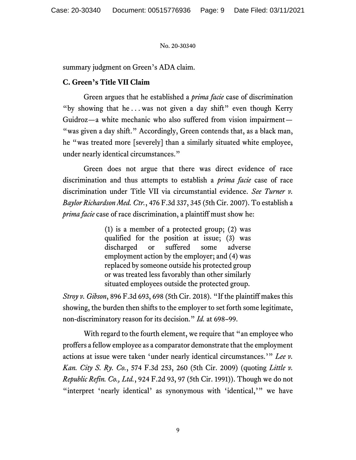summary judgment on Green's ADA claim.

## **C. Green's Title VII Claim**

Green argues that he established a *prima facie* case of discrimination "by showing that he . . . was not given a day shift" even though Kerry Guidroz—a white mechanic who also suffered from vision impairment— "was given a day shift." Accordingly, Green contends that, as a black man, he "was treated more [severely] than a similarly situated white employee, under nearly identical circumstances."

Green does not argue that there was direct evidence of race discrimination and thus attempts to establish a *prima facie* case of race discrimination under Title VII via circumstantial evidence. *See Turner v. Baylor Richardson Med. Ctr.*, 476 F.3d 337, 345 (5th Cir. 2007). To establish a *prima facie* case of race discrimination, a plaintiff must show he:

> (1) is a member of a protected group; (2) was qualified for the position at issue; (3) was discharged or suffered some adverse employment action by the employer; and (4) was replaced by someone outside his protected group or was treated less favorably than other similarly situated employees outside the protected group.

*Stroy v. Gibson*, 896 F.3d 693, 698 (5th Cir. 2018). "If the plaintiff makes this showing, the burden then shifts to the employer to set forth some legitimate, non-discriminatory reason for its decision." *Id.* at 698–99.

With regard to the fourth element, we require that "an employee who proffers a fellow employee as a comparator demonstrate that the employment actions at issue were taken 'under nearly identical circumstances.'" *Lee v. Kan. City S. Ry. Co.*, 574 F.3d 253, 260 (5th Cir. 2009) (quoting *Little v. Republic Refin. Co., Ltd.*, 924 F.2d 93, 97 (5th Cir. 1991)). Though we do not "interpret 'nearly identical' as synonymous with 'identical,'" we have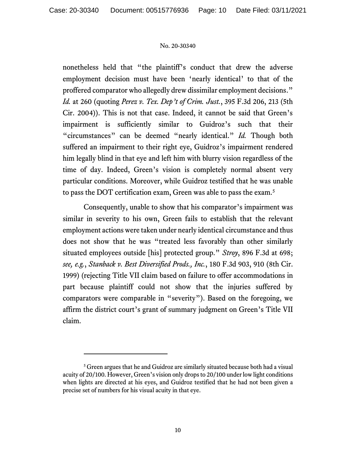nonetheless held that "the plaintiff's conduct that drew the adverse employment decision must have been 'nearly identical' to that of the proffered comparator who allegedly drew dissimilar employment decisions." *Id.* at 260 (quoting *Perez v. Tex. Dep't of Crim. Just.*, 395 F.3d 206, 213 (5th Cir. 2004)). This is not that case. Indeed, it cannot be said that Green's impairment is sufficiently similar to Guidroz's such that their "circumstances" can be deemed "nearly identical." *Id.* Though both suffered an impairment to their right eye, Guidroz's impairment rendered him legally blind in that eye and left him with blurry vision regardless of the time of day. Indeed, Green's vision is completely normal absent very particular conditions. Moreover, while Guidroz testified that he was unable to pass the DOT certification exam, Green was able to pass the exam.<sup>5</sup>

Consequently, unable to show that his comparator's impairment was similar in severity to his own, Green fails to establish that the relevant employment actions were taken under nearly identical circumstance and thus does not show that he was "treated less favorably than other similarly situated employees outside [his] protected group." *Stroy*, 896 F.3d at 698; *see, e.g.*, *Stanback v. Best Diversified Prods., Inc.*, 180 F.3d 903, 910 (8th Cir. 1999) (rejecting Title VII claim based on failure to offer accommodations in part because plaintiff could not show that the injuries suffered by comparators were comparable in "severity"). Based on the foregoing, we affirm the district court's grant of summary judgment on Green's Title VII claim.

<sup>&</sup>lt;sup>5</sup> Green argues that he and Guidroz are similarly situated because both had a visual acuity of 20/100. However, Green's vision only drops to 20/100 under low light conditions when lights are directed at his eyes, and Guidroz testified that he had not been given a precise set of numbers for his visual acuity in that eye.